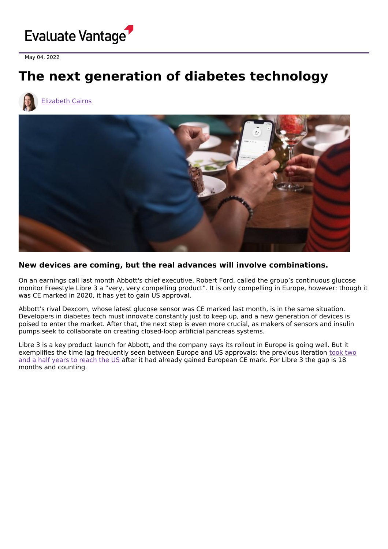

May 04, 2022

## **The next generation of diabetes technology**





## **New devices are coming, but the real advances will involve combinations.**

On an earnings call last month Abbott's chief executive, Robert Ford, called the group's continuous glucose monitor Freestyle Libre 3 a "very, very compelling product". It is only compelling in Europe, however: though it was CE marked in 2020, it has yet to gain US approval.

Abbott's rival Dexcom, whose latest glucose sensor was CE marked last month, is in the same situation. Developers in diabetes tech must innovate constantly just to keep up, and a new generation of devices is poised to enter the market. After that, the next step is even more crucial, as makers of sensors and insulin pumps seek to collaborate on creating closed-loop artificial pancreas systems.

Libre 3 is a key product launch for Abbott, and the company says its rollout in Europe is going well. But it [exemplifies](https://www.evaluate.com/vantage/articles/news/snippets/abbotts-newest-glucose-meter-spotlights-approval-lag) the time lag frequently seen between Europe and US approvals: the previous iteration took two and a half years to reach the US after it had already gained European CE mark. For Libre 3 the gap is 18 months and counting.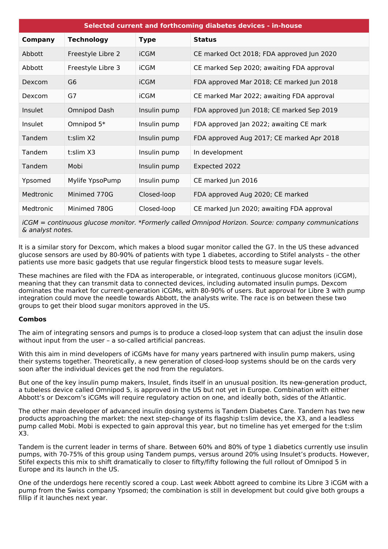| Selected current and forthcoming diabetes devices - in-house |                     |              |                                           |  |  |
|--------------------------------------------------------------|---------------------|--------------|-------------------------------------------|--|--|
| <b>Company</b>                                               | <b>Technology</b>   | <b>Type</b>  | <b>Status</b>                             |  |  |
| Abbott                                                       | Freestyle Libre 2   | iCGM         | CE marked Oct 2018; FDA approved Jun 2020 |  |  |
| Abbott                                                       | Freestyle Libre 3   | iCGM         | CE marked Sep 2020; awaiting FDA approval |  |  |
| Dexcom                                                       | G <sub>6</sub>      | <b>iCGM</b>  | FDA approved Mar 2018; CE marked Jun 2018 |  |  |
| Dexcom                                                       | G7                  | iCGM         | CE marked Mar 2022; awaiting FDA approval |  |  |
| <b>Insulet</b>                                               | <b>Omnipod Dash</b> | Insulin pump | FDA approved Jun 2018; CE marked Sep 2019 |  |  |
| Insulet                                                      | Omnipod 5*          | Insulin pump | FDA approved Jan 2022; awaiting CE mark   |  |  |
| Tandem                                                       | t:slim X2           | Insulin pump | FDA approved Aug 2017; CE marked Apr 2018 |  |  |
| Tandem                                                       | t: $\sin X3$        | Insulin pump | In development                            |  |  |
| Tandem                                                       | Mobi                | Insulin pump | Expected 2022                             |  |  |
| Ypsomed                                                      | Mylife YpsoPump     | Insulin pump | CE marked Jun 2016                        |  |  |
| Medtronic                                                    | Minimed 770G        | Closed-loop  | FDA approved Aug 2020; CE marked          |  |  |
| Medtronic                                                    | Minimed 780G        | Closed-loop  | CE marked Jun 2020; awaiting FDA approval |  |  |

iCGM = continuous glucose monitor. \*Formerly called Omnipod Horizon. Source: company communications & analyst notes.

It is a similar story for Dexcom, which makes a blood sugar monitor called the G7. In the US these advanced glucose sensors are used by 80-90% of patients with type 1 diabetes, according to Stifel analysts – the other patients use more basic gadgets that use regular fingerstick blood tests to measure sugar levels.

These machines are filed with the FDA as interoperable, or integrated, continuous glucose monitors (iCGM), meaning that they can transmit data to connected devices, including automated insulin pumps. Dexcom dominates the market for current-generation iCGMs, with 80-90% of users. But approval for Libre 3 with pump integration could move the needle towards Abbott, the analysts write. The race is on between these two groups to get their blood sugar monitors approved in the US.

## **Combos**

The aim of integrating sensors and pumps is to produce a closed-loop system that can adjust the insulin dose without input from the user – a so-called artificial pancreas.

With this aim in mind developers of iCGMs have for many years partnered with insulin pump makers, using their systems together. Theoretically, a new generation of closed-loop systems should be on the cards very soon after the individual devices get the nod from the regulators.

But one of the key insulin pump makers, Insulet, finds itself in an unusual position. Its new-generation product, a tubeless device called Omnipod 5, is approved in the US but not yet in Europe. Combination with either Abbott's or Dexcom's iCGMs will require regulatory action on one, and ideally both, sides of the Atlantic.

The other main developer of advanced insulin dosing systems is Tandem Diabetes Care. Tandem has two new products approaching the market: the next step-change of its flagship t:slim device, the X3, and a leadless pump called Mobi. Mobi is expected to gain approval this year, but no timeline has yet emerged for the t:slim X3.

Tandem is the current leader in terms of share. Between 60% and 80% of type 1 diabetics currently use insulin pumps, with 70-75% of this group using Tandem pumps, versus around 20% using Insulet's products. However, Stifel expects this mix to shift dramatically to closer to fifty/fifty following the full rollout of Omnipod 5 in Europe and its launch in the US.

One of the underdogs here recently scored a coup. Last week Abbott agreed to combine its Libre 3 iCGM with a pump from the Swiss company Ypsomed; the combination is still in development but could give both groups a fillip if it launches next year.